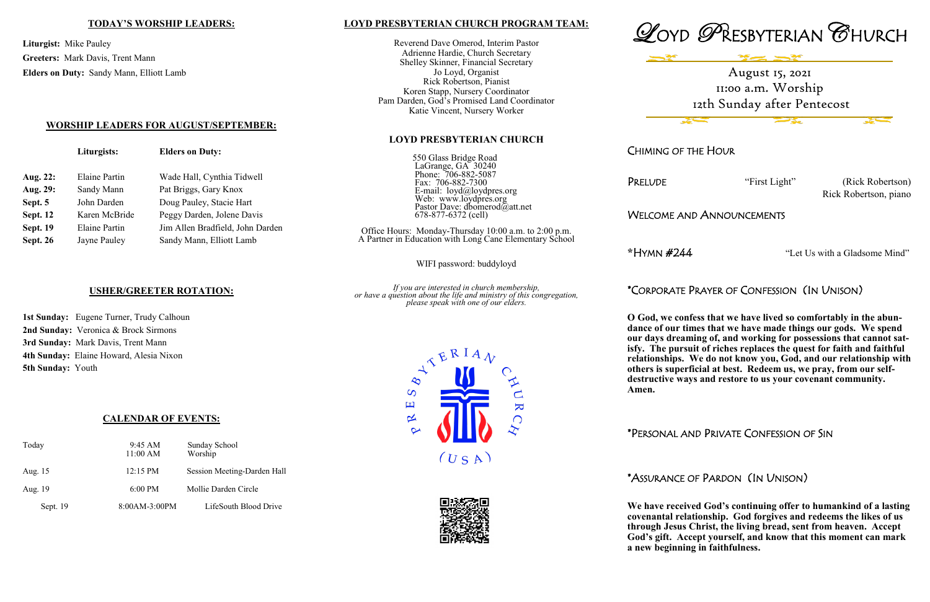### **LOYD PRESBYTERIAN CHURCH PROGRAM TEAM:**

Reverend Dave Omerod, Interim Pastor Adrienne Hardie, Church Secretary Shelley Skinner, Financial Secretary Jo Loyd, Organist Rick Robertson, Pianist Koren Stapp, Nursery Coordinator Pam Darden, God's Promised Land Coordinator Katie Vincent, Nursery Worker

#### **LOYD PRESBYTERIAN CHURCH**

550 Glass Bridge Road LaGrange, GA 30240 Phone: 706-882-5087 Fax: 706-882-7300 E-mail: loyd@loydpres.org Web: www.loydpres.org Pastor Dave: dbomerod@att.net 678-877-6372 (cell)

PRELUDE "First Light" (Rick Robertson) Rick Robertson, piano

Office Hours: Monday-Thursday 10:00 a.m. to 2:00 p.m. A Partner in Education with Long Cane Elementary School

WIFI password: buddyloyd

*If you are interested in church membership, or have a question about the life and ministry of this congregation, please speak with one of our elders.*









CHIMING OF THE HOUR

## WELCOME AND ANNOUNCEMENTS

**\***HYMN #244 "Let Us with a Gladsome Mind"

# \*CORPORATE PRAYER OF CONFESSION (IN UNISON)

**O God, we confess that we have lived so comfortably in the abundance of our times that we have made things our gods. We spend our days dreaming of, and working for possessions that cannot satisfy. The pursuit of riches replaces the quest for faith and faithful** 

**relationships. We do not know you, God, and our relationship with others is superficial at best. Redeem us, we pray, from our selfdestructive ways and restore to us your covenant community.** 

**Amen.** 

\*PERSONAL AND PRIVATE CONFESSION OF SIN

## \*ASSURANCE OF PARDON (IN UNISON)

**We have received God's continuing offer to humankind of a lasting covenantal relationship. God forgives and redeems the likes of us through Jesus Christ, the living bread, sent from heaven. Accept God's gift. Accept yourself, and know that this moment can mark a new beginning in faithfulness.** 

#### **TODAY'S WORSHIP LEADERS:**

**Liturgist:** Mike Pauley **Greeters:** Mark Davis, Trent Mann **Elders on Duty:** Sandy Mann, Elliott Lamb

**WORSHIP LEADERS FOR AUGUST/SEPTEMBER:**

**Liturgists: Elders on Duty:**

**Sept. 19** Elaine Partin Jim Allen Bradfield, John Darden

**Sept. 26** Jayne Pauley Sandy Mann, Elliott Lamb

**Aug. 22:** Elaine Partin Wade Hall, Cynthia Tidwell

Aug. 29: Sandy Mann Pat Briggs, Gary Knox **Sept. 5** John Darden Doug Pauley, Stacie Hart Sept. 12 Karen McBride Peggy Darden, Jolene Davis

## **USHER/GREETER ROTATION:**

**1st Sunday:** Eugene Turner, Trudy Calhoun **2nd Sunday:** Veronica & Brock Sirmons **3rd Sunday:** Mark Davis, Trent Mann **4th Sunday:** Elaine Howard, Alesia Nixon **5th Sunday:** Youth

## **CALENDAR OF EVENTS:**

| Today    | $9:45 \text{ AM}$  | Sunday School               |  |
|----------|--------------------|-----------------------------|--|
|          | 11:00 AM           | Worship                     |  |
| Aug. 15  | $12:15 \text{ PM}$ | Session Meeting-Darden Hall |  |
| Aug. 19  | $6:00$ PM          | Mollie Darden Circle        |  |
| Sept. 19 | 8:00AM-3:00PM      | LifeSouth Blood Drive       |  |

August 15, 2021 11:00 a.m. Worship 12th Sunday after Pentecost